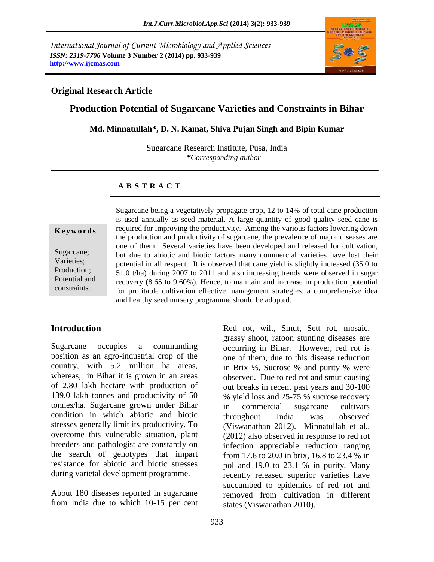*International Journal of Current Microbiology and Applied Sciences ISSN: 2319-7706* **Volume 3 Number 2 (2014) pp. 933-939 http://www.ijcmas.com**



## **Original Research Article**

## **Production Potential of Sugarcane Varieties and Constraints in Bihar**

#### **Md. Minnatullah\*, D. N. Kamat, Shiva Pujan Singh and Bipin Kumar**

Sugarcane Research Institute, Pusa, India *\*Corresponding author* 

#### **A B S T R A C T**

#### **K e y w o r d s**

Sugarcane; Varieties; Production; Potential and constraints.

recovery (8.05 to 9.00%). Hence, to maintain and increase in production potential<br>for profitable cultivation effective management strategies, a comprehensive idea Sugarcane being a vegetatively propagate crop, 12 to 14% of total cane production is used annually as seed material. A large quantity of good quality seed cane is required for improving the productivity. Among the various factors lowering down the production and productivity of sugarcane, the prevalence of major diseases are one of them. Several varieties have been developed and released for cultivation, but due to abiotic and biotic factors many commercial varieties have lost their potential in all respect. It is observed that cane yield is slightly increased (35.0 to 51.0 t/ha) during 2007 to 2011 and also increasing trends were observed in sugar recovery (8.65 to 9.60%). Hence, to maintain and increase in production potential and healthy seed nursery programme should be adopted.

## **Introduction**

Sugarcane occupies a commanding position as an agro-industrial crop of the country, with 5.2 million ha areas, whereas, in Bihar it is grown in an areas of 2.80 lakh hectare with production of 139.0 lakh tonnes and productivity of 50 tonnes/ha. Sugarcane grown under Bihar condition in which abiotic and biotic stresses generally limit its productivity. To overcome this vulnerable situation, plant breeders and pathologist are constantly on the search of genotypes that impart resistance for abiotic and biotic stresses during varietal development programme.

About 180 diseases reported in sugarcane from India due to which 10-15 per cent Red rot, wilt, Smut, Sett rot, mosaic, grassy shoot, ratoon stunting diseases are occurring in Bihar. However, red rot is one of them, due to this disease reduction in Brix %, Sucrose % and purity % were observed. Due to red rot and smut causing out breaks in recent past years and 30-100 % yield loss and 25-75 % sucrose recovery in commercial sugarcane cultivars throughout India was observed (Viswanathan 2012). Minnatullah et al., (2012) also observed in response to red rot infection appreciable reduction ranging from 17.6 to 20.0 in brix, 16.8 to 23.4 % in pol and 19.0 to 23.1 % in purity. Many recently released superior varieties have succumbed to epidemics of red rot and removed from cultivation in different states (Viswanathan 2010).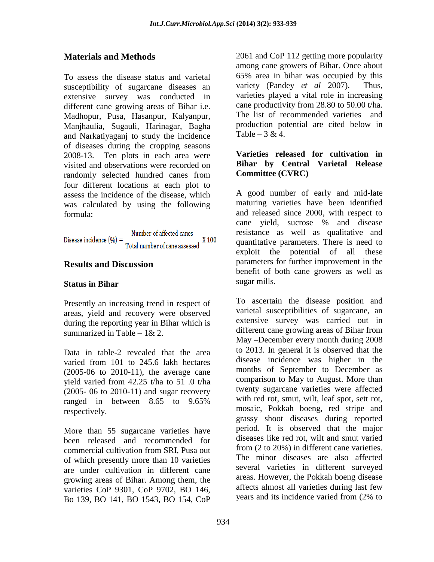# **Materials and Methods**

To assess the disease status and varietal susceptibility of sugarcane diseases an extensive survey was conducted in different cane growing areas of Bihar i.e. Madhopur, Pusa, Hasanpur, Kalyanpur, Manjhaulia, Sugauli, Harinagar, Bagha and Narkatiyaganj to study the incidence of diseases during the cropping seasons 2008-13. Ten plots in each area were visited and observations were recorded on randomly selected hundred canes from four different locations at each plot to assess the incidence of the disease, which was calculated by using the following formula:

Disease incidence  $(\% ) = \frac{\text{Number of affected causes}}{\text{Total number of cane assessed}}$ X 100

# **Results and Discussion**

## **Status in Bihar**

Presently an increasing trend in respect of areas, yield and recovery were observed during the reporting year in Bihar which is summarized in Table –  $1 & 2$ .

Data in table-2 revealed that the area varied from 101 to 245.6 lakh hectares (2005-06 to 2010-11), the average cane yield varied from 42.25 t/ha to 51 .0 t/ha (2005- 06 to 2010-11) and sugar recovery ranged in between 8.65 to 9.65% respectively.

More than 55 sugarcane varieties have been released and recommended for commercial cultivation from SRI, Pusa out of which presently more than 10 varieties are under cultivation in different cane growing areas of Bihar. Among them, the varieties CoP 9301, CoP 9702, BO 146, Bo 139, BO 141, BO 1543, BO 154, CoP

2061 and CoP 112 getting more popularity among cane growers of Bihar. Once about 65% area in bihar was occupied by this variety (Pandey *et al* 2007). Thus, varieties played a vital role in increasing cane productivity from 28.80 to 50.00 t/ha. The list of recommended varieties and production potential are cited below in Table –  $3 & 4$ .

## **Varieties released for cultivation in Bihar by Central Varietal Release Committee (CVRC)**

A good number of early and mid-late maturing varieties have been identified and released since 2000, with respect to cane yield, sucrose % and disease resistance as well as qualitative and quantitative parameters. There is need to exploit the potential of all these parameters for further improvement in the benefit of both cane growers as well as sugar mills.

To ascertain the disease position and varietal susceptibilities of sugarcane, an extensive survey was carried out in different cane growing areas of Bihar from May –December every month during 2008 to 2013. In general it is observed that the disease incidence was higher in the months of September to December as comparison to May to August. More than twenty sugarcane varieties were affected with red rot, smut, wilt, leaf spot, sett rot, mosaic, Pokkah boeng, red stripe and grassy shoot diseases during reported period. It is observed that the major diseases like red rot, wilt and smut varied from (2 to 20%) in different cane varieties. The minor diseases are also affected several varieties in different surveyed areas. However, the Pokkah boeng disease affects almost all varieties during last few years and its incidence varied from (2% to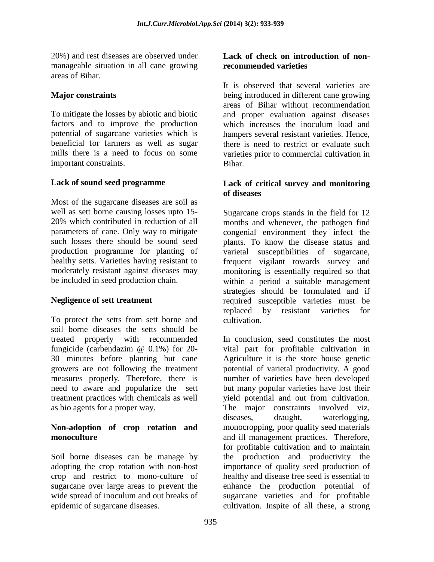20%) and rest diseases are observed under manageable situation in all cane growing areas of Bihar.

## **Major constraints**

To mitigate the losses by abiotic and biotic factors and to improve the production potential of sugarcane varieties which is beneficial for farmers as well as sugar mills there is a need to focus on some important constraints.

## **Lack of sound seed programme**

Most of the sugarcane diseases are soil as well as sett borne causing losses upto 15- 20% which contributed in reduction of all parameters of cane. Only way to mitigate such losses there should be sound seed production programme for planting of healthy setts. Varieties having resistant to moderately resistant against diseases may be included in seed production chain.

## **Negligence of sett treatment**

To protect the setts from sett borne and soil borne diseases the setts should be treated properly with recommended fungicide (carbendazim @ 0.1%) for 20- 30 minutes before planting but cane growers are not following the treatment measures properly. Therefore, there is need to aware and popularize the sett treatment practices with chemicals as well as bio agents for a proper way.

## **Non-adoption of crop rotation and monoculture**

Soil borne diseases can be manage by adopting the crop rotation with non-host crop and restrict to mono-culture of sugarcane over large areas to prevent the wide spread of inoculum and out breaks of epidemic of sugarcane diseases.

#### **Lack of check on introduction of nonrecommended varieties**

It is observed that several varieties are being introduced in different cane growing areas of Bihar without recommendation and proper evaluation against diseases which increases the inoculum load and hampers several resistant varieties. Hence, there is need to restrict or evaluate such varieties prior to commercial cultivation in Bihar.

## **Lack of critical survey and monitoring of diseases**

Sugarcane crops stands in the field for 12 months and whenever, the pathogen find congenial environment they infect the plants. To know the disease status and varietal susceptibilities of sugarcane, frequent vigilant towards survey and monitoring is essentially required so that within a period a suitable management strategies should be formulated and if required susceptible varieties must be replaced by resistant varieties for cultivation.

In conclusion, seed constitutes the most vital part for profitable cultivation in Agriculture it is the store house genetic potential of varietal productivity. A good number of varieties have been developed but many popular varieties have lost their yield potential and out from cultivation. The major constraints involved viz, diseases, draught, waterlogging, monocropping, poor quality seed materials and ill management practices. Therefore, for profitable cultivation and to maintain the production and productivity the importance of quality seed production of healthy and disease free seed is essential to enhance the production potential of sugarcane varieties and for profitable cultivation. Inspite of all these, a strong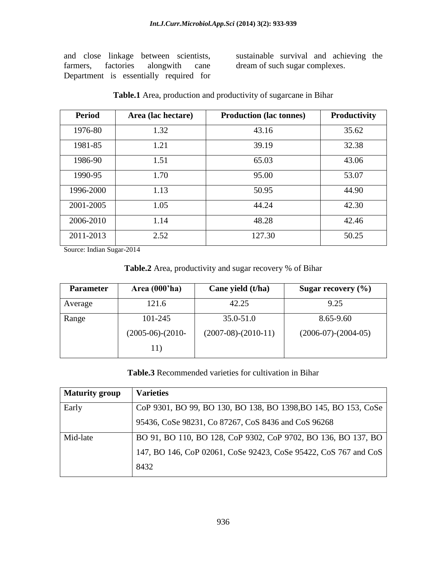and close linkage between scientists, farmers, factories alongwith cane Department is essentially required for sustainable survival and achieving the dream of such sugar complexes.

| <b>Period</b> | Area (lac hectare) | <b>Production (lac tonnes)</b> | <b>Productivity</b> |
|---------------|--------------------|--------------------------------|---------------------|
| 1976-80       | 1.32               | 43.16                          | 35.62               |
| 1981-85       | 1.21               | 39.19                          | 32.38               |
| 1986-90       | 1.51               | 65.03                          | 43.06               |
| 1990-95       | 1.70               | 95.00                          | 53.07               |
| 1996-2000     | 1.13               | 50.95                          | 44.90               |
| 2001-2005     | 1.05               | 44.24                          | 42.30               |
| 2006-2010     | 1.14               | 48.28                          | 42.46               |
| 2011-2013     | 2.52               | 127.30                         | 50.25               |

**Table.1** Area, production and productivity of sugarcane in Bihar

Source: Indian Sugar-2014

| Table.2 Area, productivity and sugar recovery % of Bihar |  |  |
|----------------------------------------------------------|--|--|
|----------------------------------------------------------|--|--|

| <b>Parameter</b> | Area $(000'$ ha)   | Cane yield (t/ha)     | Sugar recovery $(\% )$ |
|------------------|--------------------|-----------------------|------------------------|
| Average          | 121.6              | 42.25                 | 9.25                   |
| Range            | 101-245            | 35.0-51.0             | 8.65-9.60              |
|                  | $(2005-06)-(2010-$ | $(2007-08)-(2010-11)$ | $(2006-07)-(2004-05)$  |
|                  | 11)                |                       |                        |

#### **Table.3** Recommended varieties for cultivation in Bihar

| <b>Maturity group</b> | <b>Varieties</b>                                                |
|-----------------------|-----------------------------------------------------------------|
| Early                 | CoP 9301, BO 99, BO 130, BO 138, BO 1398, BO 145, BO 153, CoSe  |
|                       | 95436, CoSe 98231, Co 87267, CoS 8436 and CoS 96268             |
| Mid-late              | BO 91, BO 110, BO 128, CoP 9302, CoP 9702, BO 136, BO 137, BO   |
|                       | 147, BO 146, CoP 02061, CoSe 92423, CoSe 95422, CoS 767 and CoS |
|                       | 8432                                                            |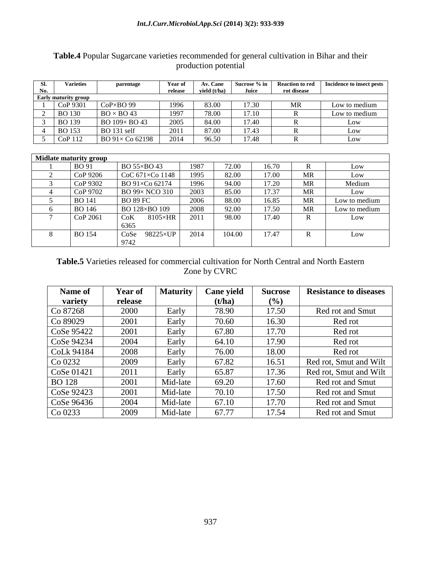| SI.                         | <b>Varieties</b> | parentage                | Year of | Av. Cane       | Sucrose % in | <b>Reaction to red</b> | Incidence to insect pests |
|-----------------------------|------------------|--------------------------|---------|----------------|--------------|------------------------|---------------------------|
| No.                         |                  |                          | release | vield $(t/ha)$ | Juice        | rot disease            |                           |
| <b>Early maturity group</b> |                  |                          |         |                |              |                        |                           |
|                             | CoP 9301         | $CoP \times BO$ 99       | 1996    | 83.00          | 17.30        | MR                     | Low to medium             |
| ∠                           | <b>BO</b> 130    | $BO \times BO$ 43        | 1997    | 78.00          | 17.10        |                        | Low to medium             |
|                             | <b>BO</b> 139    | $BO$ 109 $\times$ BO 43  | 2005    | 84.00          | 17.40        |                        | Low                       |
|                             | <b>BO</b> 153    | <b>BO</b> 131 self       | 2011    | 87.00          | 17.43        |                        | Low                       |
|                             | CoP112           | $BO\,91\times Co\,62198$ | 2014    | 96.50          | 17.48        |                        | Low                       |

## **Table.4** Popular Sugarcane varieties recommended for general cultivation in Bihar and their production potential

| <b>Midlate maturity group</b> |               |                          |      |        |       |              |               |
|-------------------------------|---------------|--------------------------|------|--------|-------|--------------|---------------|
|                               | <b>BO</b> 91  | BO 55×BO 43              | 1987 | 72.00  | 16.70 | $\mathbb{R}$ | Low           |
|                               | CoP 9206      | CoC $671\times$ Co 1148  | 1995 | 82.00  | 17.00 | MR           | Low           |
| 3                             | CoP 9302      | BO 91×Co 62174           | 1996 | 94.00  | 17.20 | MR           | Medium        |
| 4                             | CoP 9702      | <b>BO 99× NCO 310</b>    | 2003 | 85.00  | 17.37 | MR           | Low           |
|                               | <b>BO</b> 141 | <b>BO 89 FC</b>          | 2006 | 88.00  | 16.85 | MR           | Low to medium |
| 6                             | <b>BO</b> 146 | BO 128×BO 109            | 2008 | 92.00  | 17.50 | MR           | Low to medium |
| 7                             | CoP 2061      | $8105\times HR$<br>CoK   | 2011 | 98.00  | 17.40 | R            | Low           |
|                               |               | 6365                     |      |        |       |              |               |
| 8                             | <b>BO</b> 154 | CoSe<br>$98225\times$ UP | 2014 | 104.00 | 17.47 | $\mathbb{R}$ | Low           |
|                               |               | 9742                     |      |        |       |              |               |

## **Table.5** Varieties released for commercial cultivation for North Central and North Eastern Zone by CVRC

| Name of       | <b>Year of</b> | <b>Maturity</b> | Cane yield | <b>Sucrose</b> | <b>Resistance to diseases</b> |
|---------------|----------------|-----------------|------------|----------------|-------------------------------|
| variety       | release        |                 | (t/ha)     | $(\%)$         |                               |
| Co 87268      | 2000           | Early           | 78.90      | 17.50          | Red rot and Smut              |
| Co 89029      | 2001           | Early           | 70.60      | 16.30          | Red rot                       |
| CoSe 95422    | 2001           | Early           | 67.80      | 17.70          | Red rot                       |
| CoSe 94234    | 2004           | Early           | 64.10      | 17.90          | Red rot                       |
| CoLk 94184    | 2008           | Early           | 76.00      | 18.00          | Red rot                       |
| Co 0232       | 2009           | Early           | 67.82      | 16.51          | Red rot, Smut and Wilt        |
| CoSe 01421    | 2011           | Early           | 65.87      | 17.36          | Red rot, Smut and Wilt        |
| <b>BO</b> 128 | 2001           | Mid-late        | 69.20      | 17.60          | Red rot and Smut              |
| CoSe 92423    | 2001           | Mid-late        | 70.10      | 17.50          | Red rot and Smut              |
| CoSe 96436    | 2004           | Mid-late        | 67.10      | 17.70          | Red rot and Smut              |
| Co 0233       | 2009           | Mid-late        | 67.77      | 17.54          | Red rot and Smut              |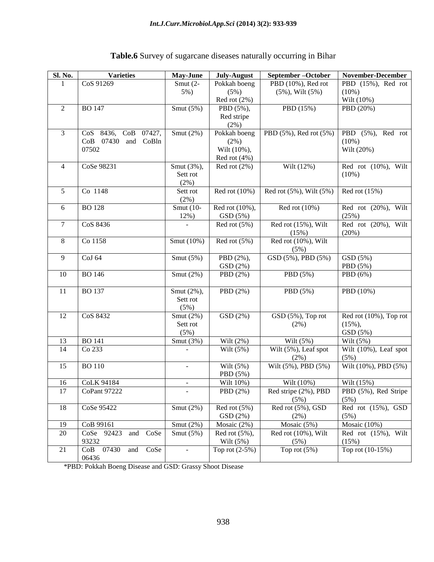| <b>Sl. No.</b>  | <b>Varieties</b>         | May-June       | July-August       | September-October                          | November-December                   |
|-----------------|--------------------------|----------------|-------------------|--------------------------------------------|-------------------------------------|
| 1               | CoS 91269                | Smut $(2-$     | Pokkah boeng      | PBD (10%), Red rot                         | PBD (15%), Red rot                  |
|                 |                          | 5%)            | (5%)              | $(5\%)$ , Wilt $(5\%)$                     | $(10\%)$                            |
|                 |                          |                | Red rot (2%)      |                                            | Wilt (10%)                          |
| $\overline{2}$  | <b>BO 147</b>            | Smut $(5%)$    | PBD (5%),         | PBD (15%)                                  | PBD (20%)                           |
|                 |                          |                | Red stripe        |                                            |                                     |
|                 |                          |                | $(2\%)$           |                                            |                                     |
| 3               | CoS 8436, CoB 07427,     | Smut $(2%)$    | Pokkah boeng      | PBD (5%), Red rot (5%)                     | PBD (5%), Red rot                   |
|                 | CoB 07430<br>and CoBln   |                | $(2\%)$           |                                            | $(10\%)$                            |
|                 | 07502                    |                | Wilt (10%),       |                                            | Wilt (20%)                          |
|                 |                          |                | Red rot $(4\%)$   |                                            |                                     |
| $\overline{4}$  | CoSe 98231               | Smut (3%),     | Red rot $(2\%)$   | Wilt (12%)                                 | Red rot (10%), Wilt                 |
|                 |                          | Sett rot       |                   |                                            | $(10\%)$                            |
|                 |                          | $(2\%)$        |                   |                                            |                                     |
| 5               | Co 1148                  | Sett rot       | Red rot $(10\%)$  | Red rot $(5\%)$ , Wilt $(5\%)$             | Red rot $(15%)$                     |
|                 |                          | $(2\%)$        |                   |                                            |                                     |
| 6               | <b>BO128</b>             | Smut (10-      | Red rot (10%),    | Red rot $(10\%)$                           | Red rot (20%), Wilt                 |
|                 |                          | 12%)           | GSD(5%)           |                                            | (25%)                               |
| $\tau$          | CoS 8436                 |                | Red rot $(5\%)$   | Red rot (15%), Wilt                        | Red rot (20%), Wilt                 |
|                 |                          |                |                   | (15%)                                      | (20%)                               |
| $\,8\,$         | Co 1158                  | Smut (10%)     | Red rot $(5\%)$   | Red rot (10%), Wilt                        |                                     |
|                 |                          |                |                   | (5%)                                       |                                     |
| 9               | CoJ 64                   | Smut $(5%)$    | PBD (2%),         | $\overline{\text{GSD}(5\%)}$ , PBD $(5\%)$ | GSD (5%)                            |
|                 |                          |                | GSD (2%)          |                                            | PBD (5%)                            |
| 10              | <b>BO</b> 146            | Smut $(2%)$    | PBD (2%)          | PBD (5%)                                   | PBD (6%)                            |
|                 |                          |                |                   |                                            |                                     |
| 11              | <b>BO</b> 137            | Smut (2%),     | PBD (2%)          | PBD (5%)                                   | PBD (10%)                           |
|                 |                          | Sett rot       |                   |                                            |                                     |
|                 |                          | (5%)           |                   |                                            |                                     |
| 12              | CoS 8432                 | Smut $(2%)$    | GSD (2%)          | GSD (5%), Top rot                          | Red rot $(10\%)$ , Top rot          |
|                 |                          | Sett rot       |                   | (2%)                                       | $(15\%),$                           |
|                 |                          | (5%)           |                   |                                            | GSD (5%)                            |
| 13              | <b>BO</b> 141            | Smut $(3%)$    | Wilt $(2%)$       | Wilt $(5%)$                                | Wilt $(5%)$                         |
| 14              | Co 233                   |                | Wilt $(5%)$       | Wilt (5%), Leaf spot                       | Wilt (10%), Leaf spot               |
|                 |                          |                |                   | (2%)                                       | (5%)                                |
| 15              | <b>BO110</b>             |                | Wilt $(5%)$       | Wilt (5%), PBD (5%)                        | Wilt (10%), PBD (5%)                |
|                 |                          |                | PBD (5%)          |                                            |                                     |
| 16              | <b>CoLK 94184</b>        | $\blacksquare$ | Wilt 10%)         | Wilt (10%)                                 | Wilt (15%)                          |
| $\overline{17}$ | CoPant 97222             |                | PBD (2%)          | Red stripe (2%), PBD                       | PBD $\overline{(5\%)}$ , Red Stripe |
|                 |                          |                |                   | (5%)                                       | (5%)                                |
| 18              | CoSe 95422               | Smut $(2%)$    | Red rot $(5\%)$   | Red rot (5%), GSD                          | Red rot $(15\%)$ , GSD              |
|                 |                          |                | GSD(2%)           | $(2\%)$                                    | (5%)                                |
| 19              | CoB 99161                | Smut $(2%)$    | Mosaic $(2\%)$    | Mosaic $(5%)$                              | Mosaic (10%)                        |
| 20              | and CoSe<br>CoSe 92423   | Smut $(5%)$    | Red rot $(5\%)$ , | Red rot (10%), Wilt                        | Red rot (15%), Wilt                 |
|                 | 93232                    |                | Wilt $(5%)$       | (5%)                                       | (15%)                               |
| 21              | CoB 07430<br>CoSe<br>and |                | Top rot $(2-5%)$  | Top rot $(5%)$                             | Top rot (10-15%)                    |
|                 | 06436                    |                |                   |                                            |                                     |

# **Table.6** Survey of sugarcane diseases naturally occurring in Bihar

\*PBD: Pokkah Boeng Disease and GSD: Grassy Shoot Disease